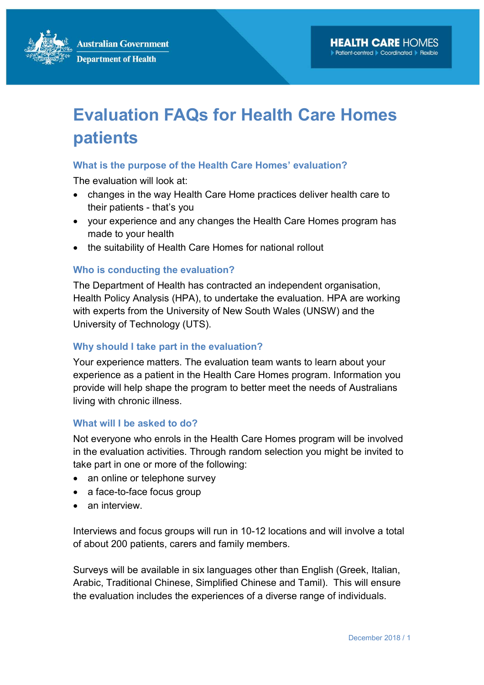**Australian Government Department of Health** 

# Evaluation FAQs for Health Care Homes patients

#### What is the purpose of the Health Care Homes' evaluation?

The evaluation will look at:

- changes in the way Health Care Home practices deliver health care to their patients - that's you
- your experience and any changes the Health Care Homes program has made to your health
- the suitability of Health Care Homes for national rollout

#### Who is conducting the evaluation?

The Department of Health has contracted an independent organisation, Health Policy Analysis (HPA), to undertake the evaluation. HPA are working with experts from the University of New South Wales (UNSW) and the University of Technology (UTS).

#### Why should I take part in the evaluation?

Your experience matters. The evaluation team wants to learn about your experience as a patient in the Health Care Homes program. Information you provide will help shape the program to better meet the needs of Australians living with chronic illness.

#### What will I be asked to do?

Not everyone who enrols in the Health Care Homes program will be involved in the evaluation activities. Through random selection you might be invited to take part in one or more of the following:

- an online or telephone survey
- a face-to-face focus group
- an interview.

Interviews and focus groups will run in 10-12 locations and will involve a total of about 200 patients, carers and family members.

Surveys will be available in six languages other than English (Greek, Italian, Arabic, Traditional Chinese, Simplified Chinese and Tamil). This will ensure the evaluation includes the experiences of a diverse range of individuals.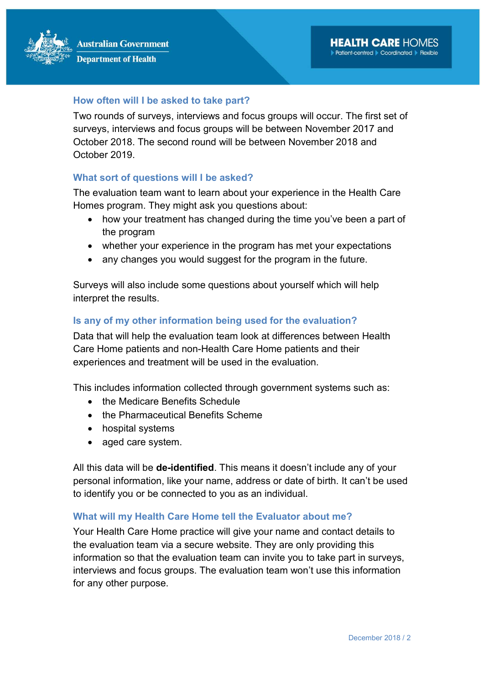#### How often will I be asked to take part?

Two rounds of surveys, interviews and focus groups will occur. The first set of surveys, interviews and focus groups will be between November 2017 and October 2018. The second round will be between November 2018 and October 2019.

#### What sort of questions will I be asked?

The evaluation team want to learn about your experience in the Health Care Homes program. They might ask you questions about:

- how your treatment has changed during the time you've been a part of the program
- whether your experience in the program has met your expectations
- any changes you would suggest for the program in the future.

Surveys will also include some questions about yourself which will help interpret the results.

#### Is any of my other information being used for the evaluation?

Data that will help the evaluation team look at differences between Health Care Home patients and non-Health Care Home patients and their experiences and treatment will be used in the evaluation.

This includes information collected through government systems such as:

- the Medicare Benefits Schedule
- the Pharmaceutical Benefits Scheme
- hospital systems
- aged care system.

All this data will be **de-identified**. This means it doesn't include any of your personal information, like your name, address or date of birth. It can't be used to identify you or be connected to you as an individual.

#### What will my Health Care Home tell the Evaluator about me?

Your Health Care Home practice will give your name and contact details to the evaluation team via a secure website. They are only providing this information so that the evaluation team can invite you to take part in surveys, interviews and focus groups. The evaluation team won't use this information for any other purpose.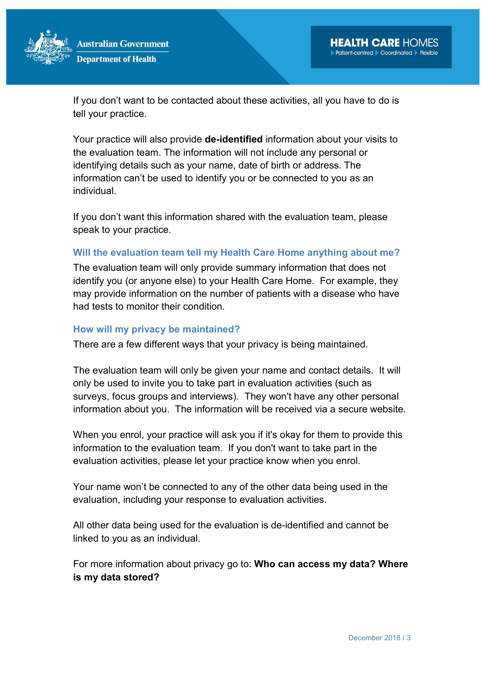

If you don't want to be contacted about these activities, all you have to do is tell your practice.

Your practice will also provide **de-identified** information about your visits to the evaluation team. The information will not include any personal or identifying details such as your name, date of birth or address. The information can't be used to identify you or be connected to you as an individual.

If you don't want this information shared with the evaluation team, please speak to your practice.

#### Will the evaluation team tell my Health Care Home anything about me?

The evaluation team will only provide summary information that does not identify you (or anyone else) to your Health Care Home. For example, they may provide information on the number of patients with a disease who have had tests to monitor their condition.

#### How will my privacy be maintained?

There are a few different ways that your privacy is being maintained.

The evaluation team will only be given your name and contact details. It will only be used to invite you to take part in evaluation activities (such as surveys, focus groups and interviews). They won't have any other personal information about you. The information will be received via a secure website.

When you enrol, your practice will ask you if it's okay for them to provide this information to the evaluation team. If you don't want to take part in the evaluation activities, please let your practice know when you enrol.

Your name won't be connected to any of the other data being used in the evaluation, including your response to evaluation activities.

All other data being used for the evaluation is de-identified and cannot be linked to you as an individual.

For more information about privacy go to: Who can access my data? Where is my data stored?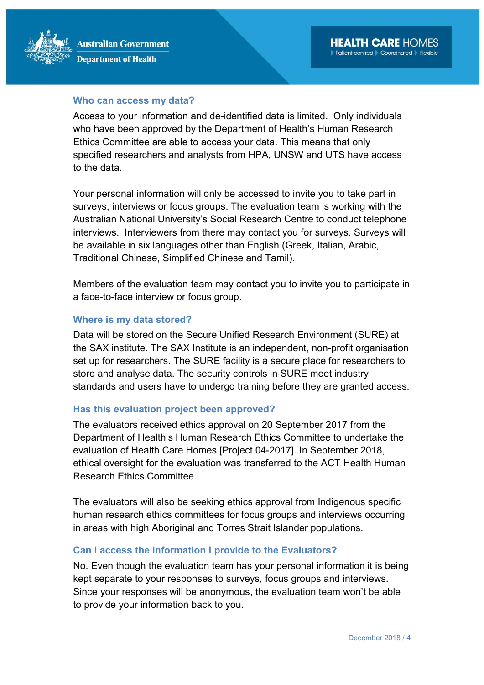#### Who can access my data?

Access to your information and de-identified data is limited. Only individuals who have been approved by the Department of Health's Human Research Ethics Committee are able to access your data. This means that only specified researchers and analysts from HPA, UNSW and UTS have access to the data.

Your personal information will only be accessed to invite you to take part in surveys, interviews or focus groups. The evaluation team is working with the Australian National University's Social Research Centre to conduct telephone interviews. Interviewers from there may contact you for surveys. Surveys will be available in six languages other than English (Greek, Italian, Arabic, Traditional Chinese, Simplified Chinese and Tamil).

Members of the evaluation team may contact you to invite you to participate in a face-to-face interview or focus group.

#### Where is my data stored?

Data will be stored on the Secure Unified Research Environment (SURE) at the SAX institute. The SAX Institute is an independent, non-profit organisation set up for researchers. The SURE facility is a secure place for researchers to store and analyse data. The security controls in SURE meet industry standards and users have to undergo training before they are granted access.

#### Has this evaluation project been approved?

The evaluators received ethics approval on 20 September 2017 from the Department of Health's Human Research Ethics Committee to undertake the evaluation of Health Care Homes [Project 04-2017]. In September 2018, ethical oversight for the evaluation was transferred to the ACT Health Human Research Ethics Committee.

The evaluators will also be seeking ethics approval from Indigenous specific human research ethics committees for focus groups and interviews occurring in areas with high Aboriginal and Torres Strait Islander populations.

#### Can I access the information I provide to the Evaluators?

No. Even though the evaluation team has your personal information it is being kept separate to your responses to surveys, focus groups and interviews. Since your responses will be anonymous, the evaluation team won't be able to provide your information back to you.